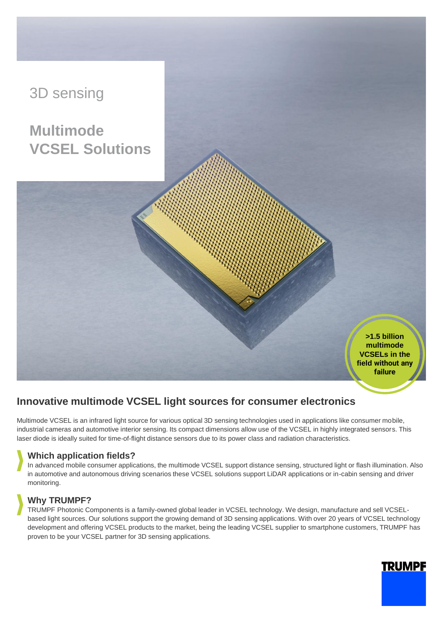

# **Innovative multimode VCSEL light sources for consumer electronics**

Multimode VCSEL is an infrared light source for various optical 3D sensing technologies used in applications like consumer mobile, industrial cameras and automotive interior sensing. Its compact dimensions allow use of the VCSEL in highly integrated sensors. This laser diode is ideally suited for time-of-flight distance sensors due to its power class and radiation characteristics.

## **Which application fields?**

In advanced mobile consumer applications, the multimode VCSEL support distance sensing, structured light or flash illumination. Also in automotive and autonomous driving scenarios these VCSEL solutions support LiDAR applications or in-cabin sensing and driver monitoring.

## **Why TRUMPF?**

TRUMPF Photonic Components is a family-owned global leader in VCSEL technology. We design, manufacture and sell VCSELbased light sources. Our solutions support the growing demand of 3D sensing applications. With over 20 years of VCSEL technology development and offering VCSEL products to the market, being the leading VCSEL supplier to smartphone customers, TRUMPF has proven to be your VCSEL partner for 3D sensing applications.